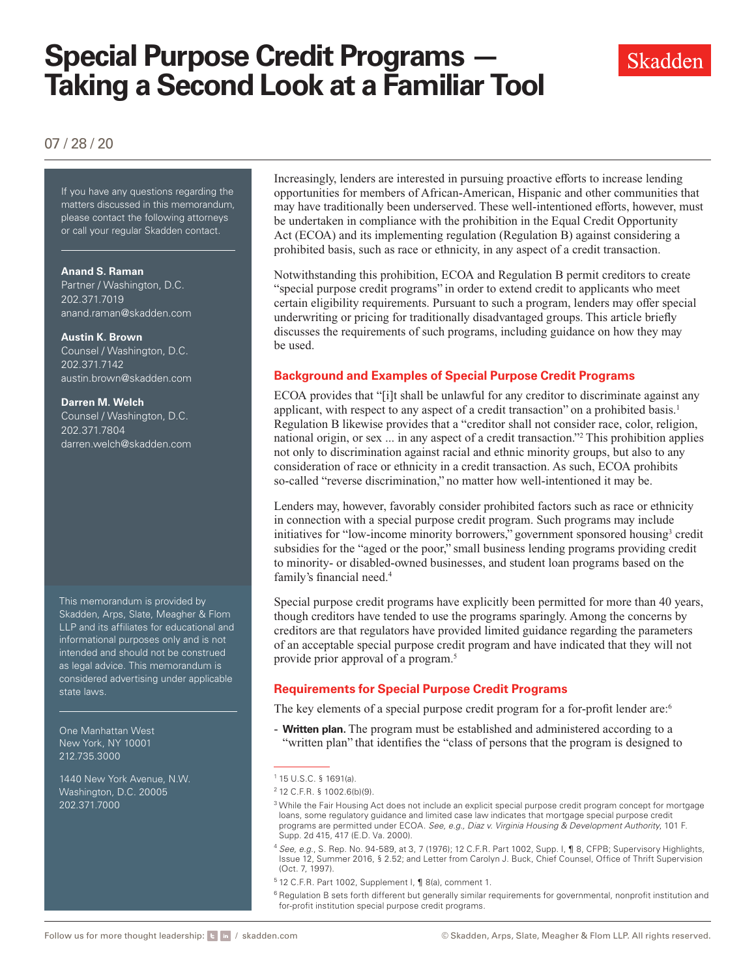# **Special Purpose Credit Programs — Taking a Second Look at a Familiar Tool**



# 07 / 28 / 20

If you have any questions regarding If you have any questions regarding the matters discussed in this memorandum, please contact the following attorneys or call your regular Skadden contact.

#### **Anand S. Raman**

Partner / Washington, D.C. 202.371.7019 [anand.raman@skadden.com](mailto:anand.raman@skadden.com)

#### **Austin K. Brown**

Counsel / Washington, D.C. 202.371.7142 [austin.brown@skadden.com](mailto:austin.brown@skadden.com)

#### **Darren M. Welch**

Counsel / Washington, D.C. 202.371.7804 [darren.welch@skadden.com](mailto:darren.welch@skadden.com)

This memorandum is provided by Skadden, Arps, Slate, Meagher & Flom LLP and its affiliates for educational and informational purposes only and is not intended and should not be construed as legal advice. This memorandum is considered advertising under applicable state laws.

One Manhattan West New York, NY 10001 212.735.3000

1440 New York Avenue, N.W. Washington, D.C. 20005 202.371.7000

Increasingly, lenders are interested in pursuing proactive efforts to increase lending opportunities for members of African-American, Hispanic and other communities that may have traditionally been underserved. These well-intentioned efforts, however, must be undertaken in compliance with the prohibition in the Equal Credit Opportunity Act (ECOA) and its implementing regulation (Regulation B) against considering a prohibited basis, such as race or ethnicity, in any aspect of a credit transaction.

Notwithstanding this prohibition, ECOA and Regulation B permit creditors to create "special purpose credit programs" in order to extend credit to applicants who meet certain eligibility requirements. Pursuant to such a program, lenders may offer special underwriting or pricing for traditionally disadvantaged groups. This article briefly discusses the requirements of such programs, including guidance on how they may be used.

### **Background and Examples of Special Purpose Credit Programs**

ECOA provides that "[i]t shall be unlawful for any creditor to discriminate against any applicant, with respect to any aspect of a credit transaction" on a prohibited basis.<sup>1</sup> Regulation B likewise provides that a "creditor shall not consider race, color, religion, national origin, or sex ... in any aspect of a credit transaction."2 This prohibition applies not only to discrimination against racial and ethnic minority groups, but also to any consideration of race or ethnicity in a credit transaction. As such, ECOA prohibits so-called "reverse discrimination," no matter how well-intentioned it may be.

Lenders may, however, favorably consider prohibited factors such as race or ethnicity in connection with a special purpose credit program. Such programs may include initiatives for "low-income minority borrowers," government sponsored housing<sup>3</sup> credit subsidies for the "aged or the poor," small business lending programs providing credit to minority- or disabled-owned businesses, and student loan programs based on the family's financial need.<sup>4</sup>

Special purpose credit programs have explicitly been permitted for more than 40 years, though creditors have tended to use the programs sparingly. Among the concerns by creditors are that regulators have provided limited guidance regarding the parameters of an acceptable special purpose credit program and have indicated that they will not provide prior approval of a program.5

# **Requirements for Special Purpose Credit Programs**

The key elements of a special purpose credit program for a for-profit lender are:<sup>6</sup>

- **Written plan.** The program must be established and administered according to a "written plan" that identifies the "class of persons that the program is designed to

- <sup>4</sup> *See, e.g.*, S. Rep. No. 94-589, at 3, 7 (1976); 12 C.F.R. Part 1002, Supp. I, ¶ 8, CFPB; Supervisory Highlights, Issue 12, Summer 2016, § 2.52; and Letter from Carolyn J. Buck, Chief Counsel, Office of Thrift Supervision (Oct. 7, 1997).
- <sup>5</sup> 12 C.F.R. Part 1002, Supplement I, ¶ 8(a), comment 1.

<sup>6</sup> Regulation B sets forth different but generally similar requirements for governmental, nonprofit institution and for-profit institution special purpose credit programs.

<sup>1</sup> 15 U.S.C. § 1691(a).

<sup>2</sup> 12 C.F.R. § 1002.6(b)(9).

<sup>&</sup>lt;sup>3</sup> While the Fair Housing Act does not include an explicit special purpose credit program concept for mortgage loans, some regulatory guidance and limited case law indicates that mortgage special purpose credit programs are permitted under ECOA. *See, e.g., Diaz v. Virginia Housing & Development Authority*, 101 F. Supp. 2d 415, 417 (E.D. Va. 2000).